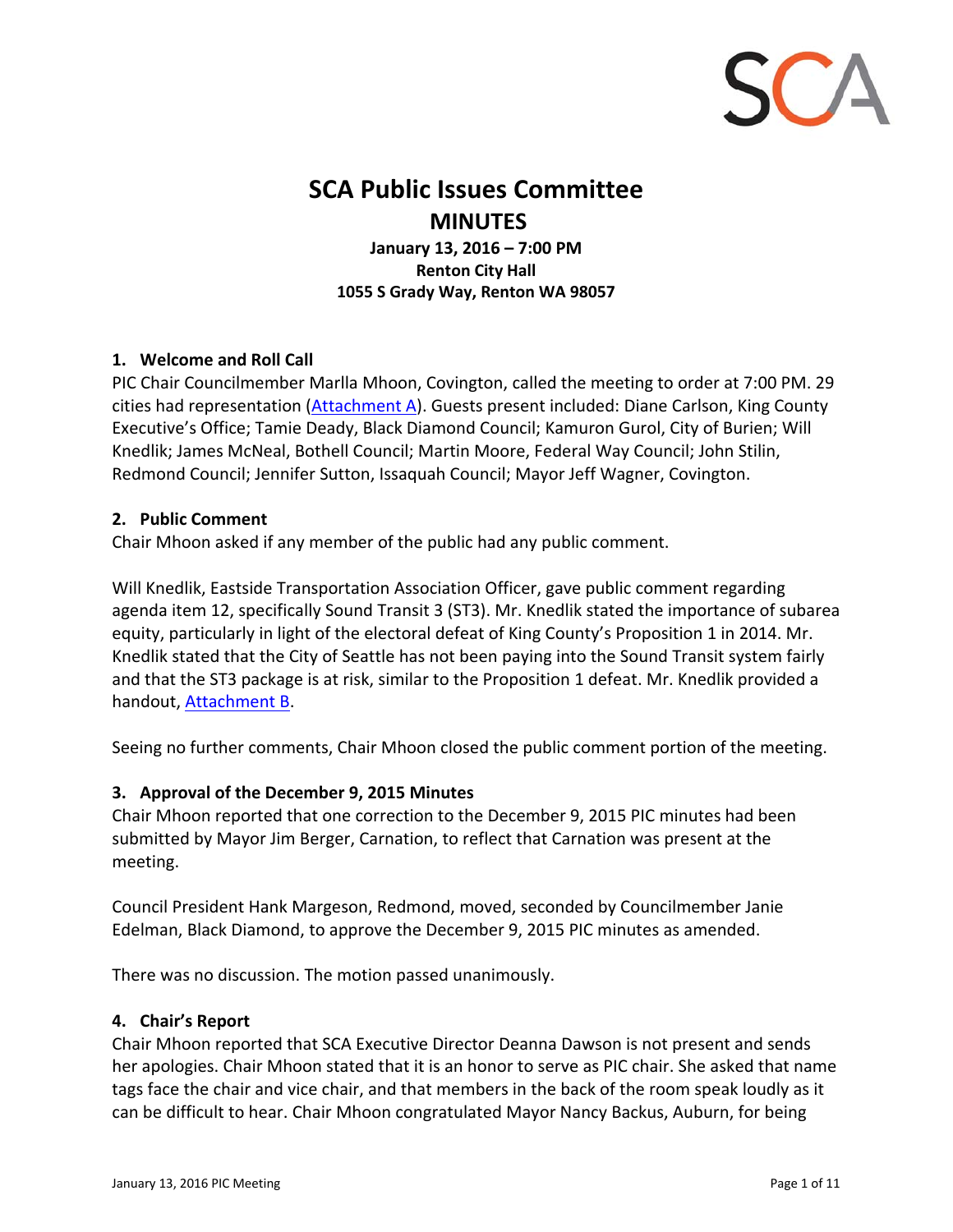

# **SCA Public Issues Committee MINUTES**

**January 13, 2016 – 7:00 PM Renton City Hall 1055 S Grady Way, Renton WA 98057**

## **1. Welcome and Roll Call**

PIC Chair Councilmember Marlla Mhoon, Covington, called the meeting to order at 7:00 PM. 29 cities had representation [\(Attachment](#page-9-0) A). Guests present included: Diane Carlson, King County Executive's Office; Tamie Deady, Black Diamond Council; Kamuron Gurol, City of Burien; Will Knedlik; James McNeal, Bothell Council; Martin Moore, Federal Way Council; John Stilin, Redmond Council; Jennifer Sutton, Issaquah Council; Mayor Jeff Wagner, Covington.

#### **2. Public Comment**

Chair Mhoon asked if any member of the public had any public comment.

Will Knedlik, Eastside Transportation Association Officer, gave public comment regarding agenda item 12, specifically Sound Transit 3 (ST3). Mr. Knedlik stated the importance of subarea equity, particularly in light of the electoral defeat of King County's Proposition 1 in 2014. Mr. Knedlik stated that the City of Seattle has not been paying into the Sound Transit system fairly and that the ST3 package is at risk, similar to the Proposition 1 defeat. Mr. Knedlik provided a handout, [Attachment](#page-10-0) B.

Seeing no further comments, Chair Mhoon closed the public comment portion of the meeting.

#### **3. Approval of the December 9, 2015 Minutes**

Chair Mhoon reported that one correction to the December 9, 2015 PIC minutes had been submitted by Mayor Jim Berger, Carnation, to reflect that Carnation was present at the meeting.

Council President Hank Margeson, Redmond, moved, seconded by Councilmember Janie Edelman, Black Diamond, to approve the December 9, 2015 PIC minutes as amended.

There was no discussion. The motion passed unanimously.

#### **4. Chair's Report**

Chair Mhoon reported that SCA Executive Director Deanna Dawson is not present and sends her apologies. Chair Mhoon stated that it is an honor to serve as PIC chair. She asked that name tags face the chair and vice chair, and that members in the back of the room speak loudly as it can be difficult to hear. Chair Mhoon congratulated Mayor Nancy Backus, Auburn, for being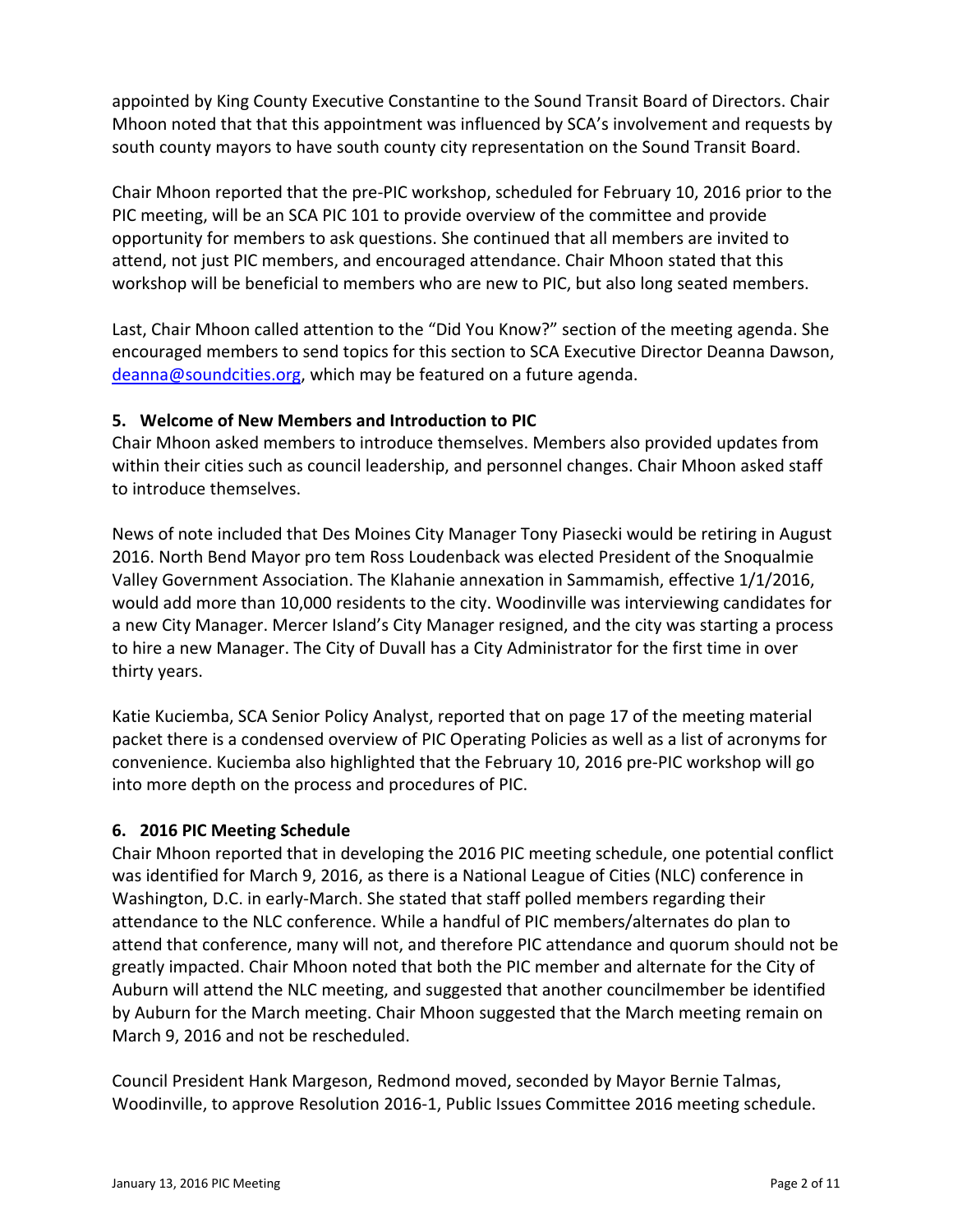appointed by King County Executive Constantine to the Sound Transit Board of Directors. Chair Mhoon noted that that this appointment was influenced by SCA's involvement and requests by south county mayors to have south county city representation on the Sound Transit Board.

Chair Mhoon reported that the pre‐PIC workshop, scheduled for February 10, 2016 prior to the PIC meeting, will be an SCA PIC 101 to provide overview of the committee and provide opportunity for members to ask questions. She continued that all members are invited to attend, not just PIC members, and encouraged attendance. Chair Mhoon stated that this workshop will be beneficial to members who are new to PIC, but also long seated members.

Last, Chair Mhoon called attention to the "Did You Know?" section of the meeting agenda. She encouraged members to send topics for this section to SCA Executive Director Deanna Dawson, deanna@soundcities.org, which may be featured on a future agenda.

# **5. Welcome of New Members and Introduction to PIC**

Chair Mhoon asked members to introduce themselves. Members also provided updates from within their cities such as council leadership, and personnel changes. Chair Mhoon asked staff to introduce themselves.

News of note included that Des Moines City Manager Tony Piasecki would be retiring in August 2016. North Bend Mayor pro tem Ross Loudenback was elected President of the Snoqualmie Valley Government Association. The Klahanie annexation in Sammamish, effective 1/1/2016, would add more than 10,000 residents to the city. Woodinville was interviewing candidates for a new City Manager. Mercer Island's City Manager resigned, and the city was starting a process to hire a new Manager. The City of Duvall has a City Administrator for the first time in over thirty years.

Katie Kuciemba, SCA Senior Policy Analyst, reported that on page 17 of the meeting material packet there is a condensed overview of PIC Operating Policies as well as a list of acronyms for convenience. Kuciemba also highlighted that the February 10, 2016 pre‐PIC workshop will go into more depth on the process and procedures of PIC.

# **6. 2016 PIC Meeting Schedule**

Chair Mhoon reported that in developing the 2016 PIC meeting schedule, one potential conflict was identified for March 9, 2016, as there is a National League of Cities (NLC) conference in Washington, D.C. in early‐March. She stated that staff polled members regarding their attendance to the NLC conference. While a handful of PIC members/alternates do plan to attend that conference, many will not, and therefore PIC attendance and quorum should not be greatly impacted. Chair Mhoon noted that both the PIC member and alternate for the City of Auburn will attend the NLC meeting, and suggested that another councilmember be identified by Auburn for the March meeting. Chair Mhoon suggested that the March meeting remain on March 9, 2016 and not be rescheduled.

Council President Hank Margeson, Redmond moved, seconded by Mayor Bernie Talmas, Woodinville, to approve Resolution 2016‐1, Public Issues Committee 2016 meeting schedule.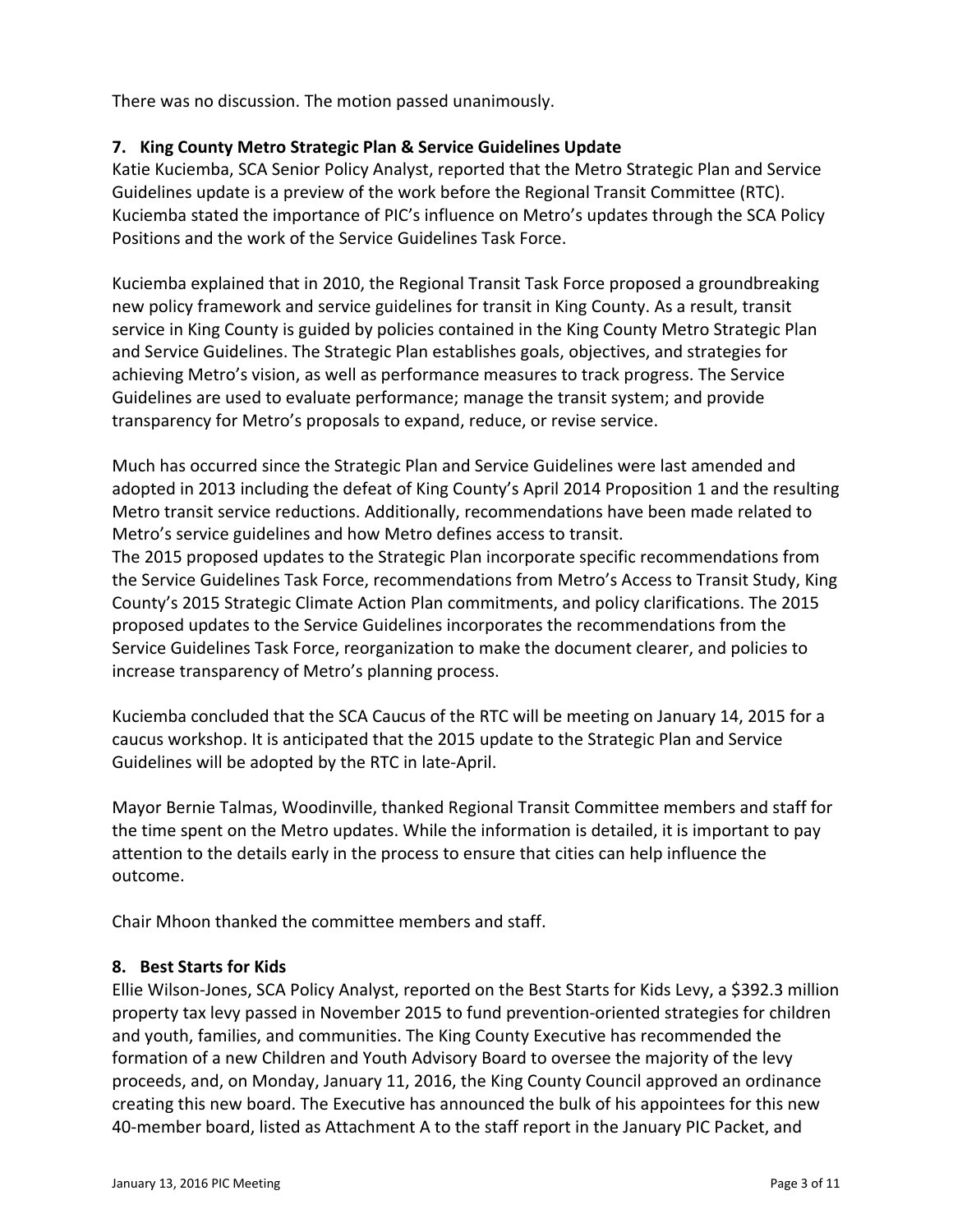There was no discussion. The motion passed unanimously.

# **7. King County Metro Strategic Plan & Service Guidelines Update**

Katie Kuciemba, SCA Senior Policy Analyst, reported that the Metro Strategic Plan and Service Guidelines update is a preview of the work before the Regional Transit Committee (RTC). Kuciemba stated the importance of PIC's influence on Metro's updates through the SCA Policy Positions and the work of the Service Guidelines Task Force.

Kuciemba explained that in 2010, the Regional Transit Task Force proposed a groundbreaking new policy framework and service guidelines for transit in King County. As a result, transit service in King County is guided by policies contained in the King County Metro Strategic Plan and Service Guidelines. The Strategic Plan establishes goals, objectives, and strategies for achieving Metro's vision, as well as performance measures to track progress. The Service Guidelines are used to evaluate performance; manage the transit system; and provide transparency for Metro's proposals to expand, reduce, or revise service.

Much has occurred since the Strategic Plan and Service Guidelines were last amended and adopted in 2013 including the defeat of King County's April 2014 Proposition 1 and the resulting Metro transit service reductions. Additionally, recommendations have been made related to Metro's service guidelines and how Metro defines access to transit.

The 2015 proposed updates to the Strategic Plan incorporate specific recommendations from the Service Guidelines Task Force, recommendations from Metro's Access to Transit Study, King County's 2015 Strategic Climate Action Plan commitments, and policy clarifications. The 2015 proposed updates to the Service Guidelines incorporates the recommendations from the Service Guidelines Task Force, reorganization to make the document clearer, and policies to increase transparency of Metro's planning process.

Kuciemba concluded that the SCA Caucus of the RTC will be meeting on January 14, 2015 for a caucus workshop. It is anticipated that the 2015 update to the Strategic Plan and Service Guidelines will be adopted by the RTC in late‐April.

Mayor Bernie Talmas, Woodinville, thanked Regional Transit Committee members and staff for the time spent on the Metro updates. While the information is detailed, it is important to pay attention to the details early in the process to ensure that cities can help influence the outcome.

Chair Mhoon thanked the committee members and staff.

# **8. Best Starts for Kids**

Ellie Wilson‐Jones, SCA Policy Analyst, reported on the Best Starts for Kids Levy, a \$392.3 million property tax levy passed in November 2015 to fund prevention‐oriented strategies for children and youth, families, and communities. The King County Executive has recommended the formation of a new Children and Youth Advisory Board to oversee the majority of the levy proceeds, and, on Monday, January 11, 2016, the King County Council approved an ordinance creating this new board. The Executive has announced the bulk of his appointees for this new 40‐member board, listed as Attachment A to the staff report in the January PIC Packet, and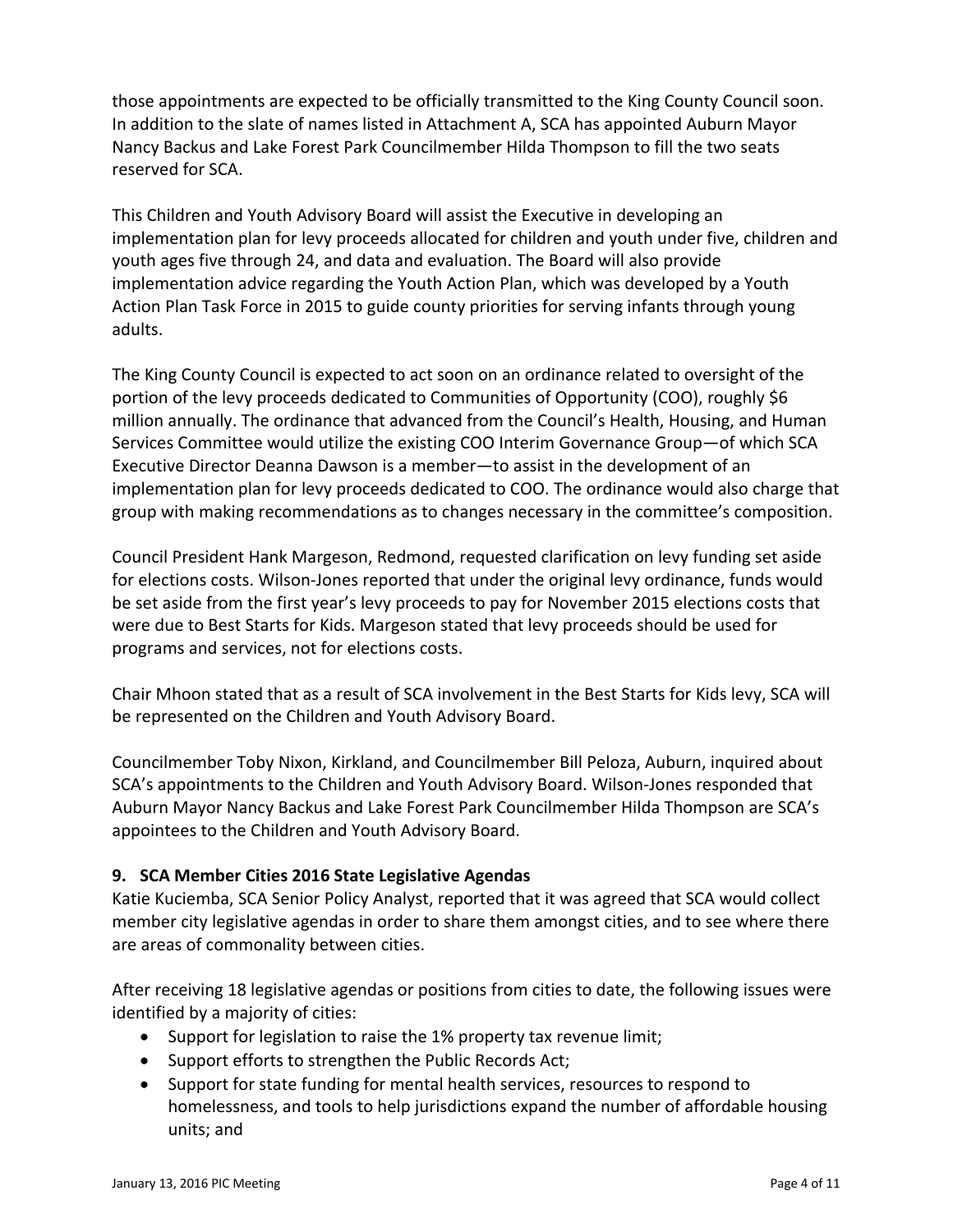those appointments are expected to be officially transmitted to the King County Council soon. In addition to the slate of names listed in Attachment A, SCA has appointed Auburn Mayor Nancy Backus and Lake Forest Park Councilmember Hilda Thompson to fill the two seats reserved for SCA.

This Children and Youth Advisory Board will assist the Executive in developing an implementation plan for levy proceeds allocated for children and youth under five, children and youth ages five through 24, and data and evaluation. The Board will also provide implementation advice regarding the Youth Action Plan, which was developed by a Youth Action Plan Task Force in 2015 to guide county priorities for serving infants through young adults.

The King County Council is expected to act soon on an ordinance related to oversight of the portion of the levy proceeds dedicated to Communities of Opportunity (COO), roughly \$6 million annually. The ordinance that advanced from the Council's Health, Housing, and Human Services Committee would utilize the existing COO Interim Governance Group—of which SCA Executive Director Deanna Dawson is a member—to assist in the development of an implementation plan for levy proceeds dedicated to COO. The ordinance would also charge that group with making recommendations as to changes necessary in the committee's composition.

Council President Hank Margeson, Redmond, requested clarification on levy funding set aside for elections costs. Wilson-Jones reported that under the original levy ordinance, funds would be set aside from the first year's levy proceeds to pay for November 2015 elections costs that were due to Best Starts for Kids. Margeson stated that levy proceeds should be used for programs and services, not for elections costs.

Chair Mhoon stated that as a result of SCA involvement in the Best Starts for Kids levy, SCA will be represented on the Children and Youth Advisory Board.

Councilmember Toby Nixon, Kirkland, and Councilmember Bill Peloza, Auburn, inquired about SCA's appointments to the Children and Youth Advisory Board. Wilson‐Jones responded that Auburn Mayor Nancy Backus and Lake Forest Park Councilmember Hilda Thompson are SCA's appointees to the Children and Youth Advisory Board.

# **9. SCA Member Cities 2016 State Legislative Agendas**

Katie Kuciemba, SCA Senior Policy Analyst, reported that it was agreed that SCA would collect member city legislative agendas in order to share them amongst cities, and to see where there are areas of commonality between cities.

After receiving 18 legislative agendas or positions from cities to date, the following issues were identified by a majority of cities:

- Support for legislation to raise the 1% property tax revenue limit;
- Support efforts to strengthen the Public Records Act;
- Support for state funding for mental health services, resources to respond to homelessness, and tools to help jurisdictions expand the number of affordable housing units; and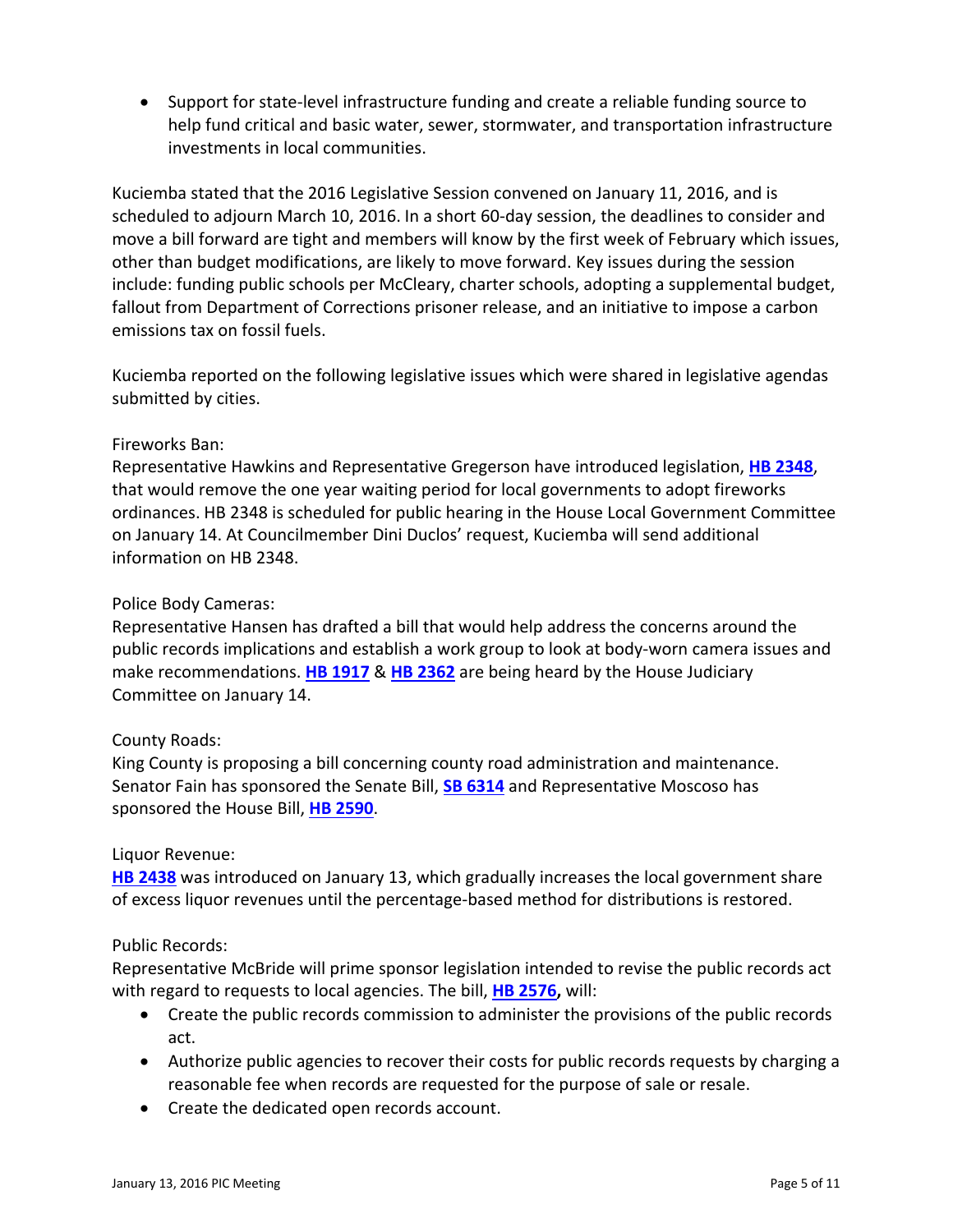● Support for state-level infrastructure funding and create a reliable funding source to help fund critical and basic water, sewer, stormwater, and transportation infrastructure investments in local communities.

Kuciemba stated that the 2016 Legislative Session convened on January 11, 2016, and is scheduled to adjourn March 10, 2016. In a short 60‐day session, the deadlines to consider and move a bill forward are tight and members will know by the first week of February which issues, other than budget modifications, are likely to move forward. Key issues during the session include: funding public schools per McCleary, charter schools, adopting a supplemental budget, fallout from Department of Corrections prisoner release, and an initiative to impose a carbon emissions tax on fossil fuels.

Kuciemba reported on the following legislative issues which were shared in legislative agendas submitted by cities.

## Fireworks Ban:

Representative Hawkins and Representative Gregerson have introduced legislation, **HB 2348**, that would remove the one year waiting period for local governments to adopt fireworks ordinances. HB 2348 is scheduled for public hearing in the House Local Government Committee on January 14. At Councilmember Dini Duclos' request, Kuciemba will send additional information on HB 2348.

#### Police Body Cameras:

Representative Hansen has drafted a bill that would help address the concerns around the public records implications and establish a work group to look at body-worn camera issues and make recommendations. **HB 1917** & **HB 2362** are being heard by the House Judiciary Committee on January 14.

#### County Roads:

King County is proposing a bill concerning county road administration and maintenance. Senator Fain has sponsored the Senate Bill, **SB 6314** and Representative Moscoso has sponsored the House Bill, **HB 2590**.

#### Liquor Revenue:

**HB 2438** was introduced on January 13, which gradually increases the local government share of excess liquor revenues until the percentage‐based method for distributions is restored.

#### Public Records:

Representative McBride will prime sponsor legislation intended to revise the public records act with regard to requests to local agencies. The bill, **HB 2576,** will:

- Create the public records commission to administer the provisions of the public records act.
- Authorize public agencies to recover their costs for public records requests by charging a reasonable fee when records are requested for the purpose of sale or resale.
- Create the dedicated open records account.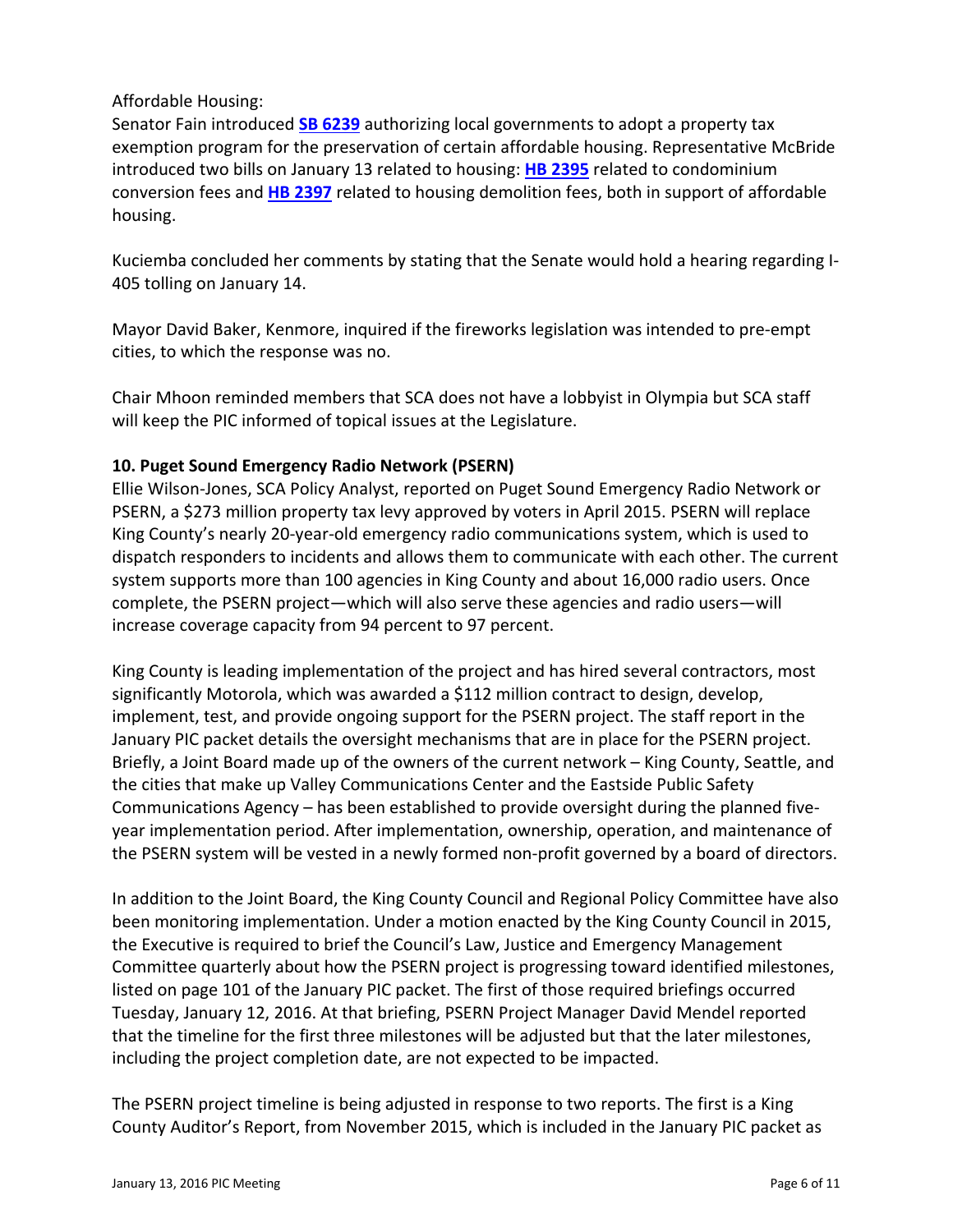## Affordable Housing:

Senator Fain introduced **SB 6239** authorizing local governments to adopt a property tax exemption program for the preservation of certain affordable housing. Representative McBride introduced two bills on January 13 related to housing: **HB 2395** related to condominium conversion fees and **HB 2397** related to housing demolition fees, both in support of affordable housing.

Kuciemba concluded her comments by stating that the Senate would hold a hearing regarding I‐ 405 tolling on January 14.

Mayor David Baker, Kenmore, inquired if the fireworks legislation was intended to pre‐empt cities, to which the response was no.

Chair Mhoon reminded members that SCA does not have a lobbyist in Olympia but SCA staff will keep the PIC informed of topical issues at the Legislature.

## **10. Puget Sound Emergency Radio Network (PSERN)**

Ellie Wilson‐Jones, SCA Policy Analyst, reported on Puget Sound Emergency Radio Network or PSERN, a \$273 million property tax levy approved by voters in April 2015. PSERN will replace King County's nearly 20‐year‐old emergency radio communications system, which is used to dispatch responders to incidents and allows them to communicate with each other. The current system supports more than 100 agencies in King County and about 16,000 radio users. Once complete, the PSERN project—which will also serve these agencies and radio users—will increase coverage capacity from 94 percent to 97 percent.

King County is leading implementation of the project and has hired several contractors, most significantly Motorola, which was awarded a \$112 million contract to design, develop, implement, test, and provide ongoing support for the PSERN project. The staff report in the January PIC packet details the oversight mechanisms that are in place for the PSERN project. Briefly, a Joint Board made up of the owners of the current network – King County, Seattle, and the cities that make up Valley Communications Center and the Eastside Public Safety Communications Agency – has been established to provide oversight during the planned five‐ year implementation period. After implementation, ownership, operation, and maintenance of the PSERN system will be vested in a newly formed non‐profit governed by a board of directors.

In addition to the Joint Board, the King County Council and Regional Policy Committee have also been monitoring implementation. Under a motion enacted by the King County Council in 2015, the Executive is required to brief the Council's Law, Justice and Emergency Management Committee quarterly about how the PSERN project is progressing toward identified milestones, listed on page 101 of the January PIC packet. The first of those required briefings occurred Tuesday, January 12, 2016. At that briefing, PSERN Project Manager David Mendel reported that the timeline for the first three milestones will be adjusted but that the later milestones, including the project completion date, are not expected to be impacted.

The PSERN project timeline is being adjusted in response to two reports. The first is a King County Auditor's Report, from November 2015, which is included in the January PIC packet as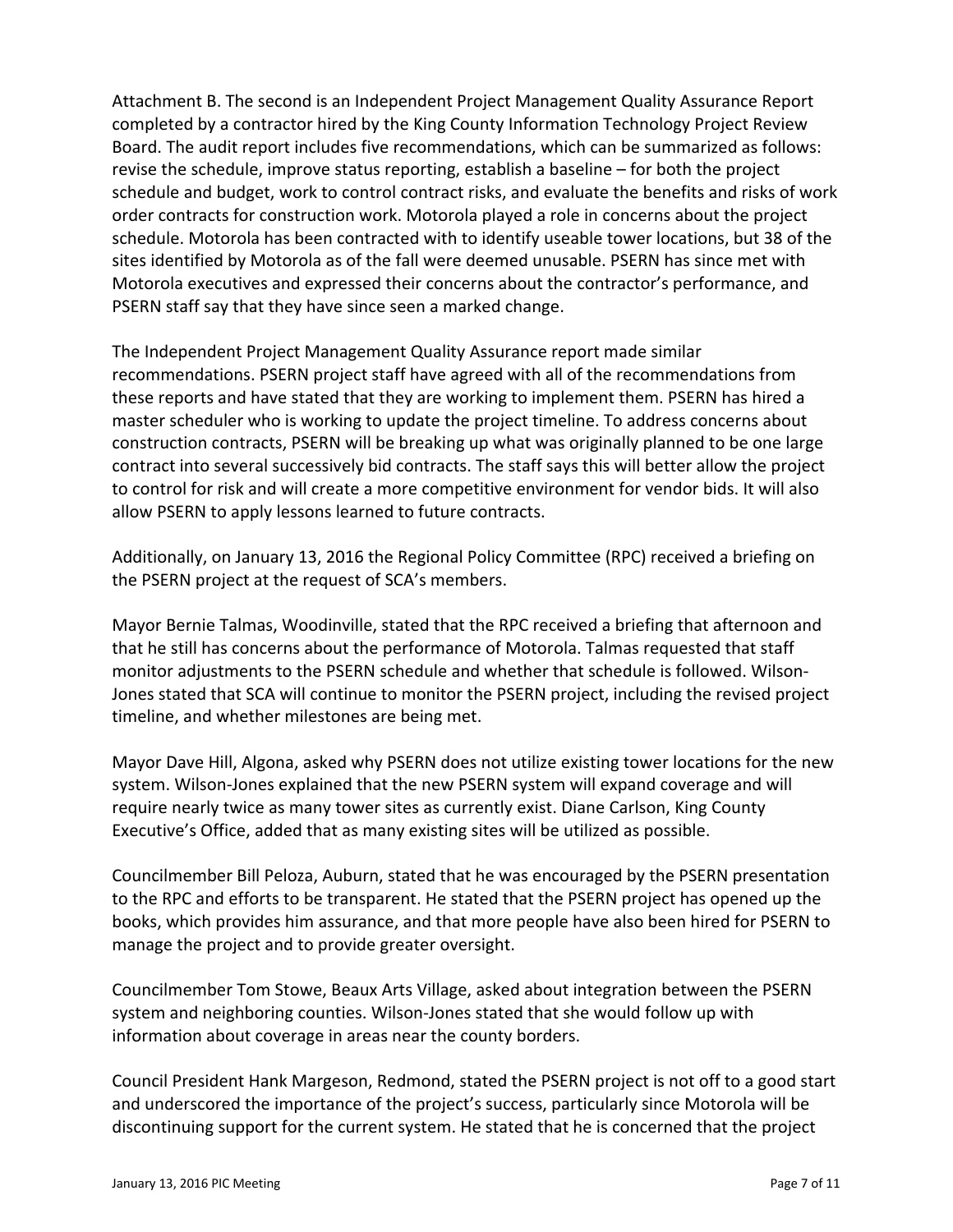Attachment B. The second is an Independent Project Management Quality Assurance Report completed by a contractor hired by the King County Information Technology Project Review Board. The audit report includes five recommendations, which can be summarized as follows: revise the schedule, improve status reporting, establish a baseline – for both the project schedule and budget, work to control contract risks, and evaluate the benefits and risks of work order contracts for construction work. Motorola played a role in concerns about the project schedule. Motorola has been contracted with to identify useable tower locations, but 38 of the sites identified by Motorola as of the fall were deemed unusable. PSERN has since met with Motorola executives and expressed their concerns about the contractor's performance, and PSERN staff say that they have since seen a marked change.

The Independent Project Management Quality Assurance report made similar recommendations. PSERN project staff have agreed with all of the recommendations from these reports and have stated that they are working to implement them. PSERN has hired a master scheduler who is working to update the project timeline. To address concerns about construction contracts, PSERN will be breaking up what was originally planned to be one large contract into several successively bid contracts. The staff says this will better allow the project to control for risk and will create a more competitive environment for vendor bids. It will also allow PSERN to apply lessons learned to future contracts.

Additionally, on January 13, 2016 the Regional Policy Committee (RPC) received a briefing on the PSERN project at the request of SCA's members.

Mayor Bernie Talmas, Woodinville, stated that the RPC received a briefing that afternoon and that he still has concerns about the performance of Motorola. Talmas requested that staff monitor adjustments to the PSERN schedule and whether that schedule is followed. Wilson‐ Jones stated that SCA will continue to monitor the PSERN project, including the revised project timeline, and whether milestones are being met.

Mayor Dave Hill, Algona, asked why PSERN does not utilize existing tower locations for the new system. Wilson‐Jones explained that the new PSERN system will expand coverage and will require nearly twice as many tower sites as currently exist. Diane Carlson, King County Executive's Office, added that as many existing sites will be utilized as possible.

Councilmember Bill Peloza, Auburn, stated that he was encouraged by the PSERN presentation to the RPC and efforts to be transparent. He stated that the PSERN project has opened up the books, which provides him assurance, and that more people have also been hired for PSERN to manage the project and to provide greater oversight.

Councilmember Tom Stowe, Beaux Arts Village, asked about integration between the PSERN system and neighboring counties. Wilson‐Jones stated that she would follow up with information about coverage in areas near the county borders.

Council President Hank Margeson, Redmond, stated the PSERN project is not off to a good start and underscored the importance of the project's success, particularly since Motorola will be discontinuing support for the current system. He stated that he is concerned that the project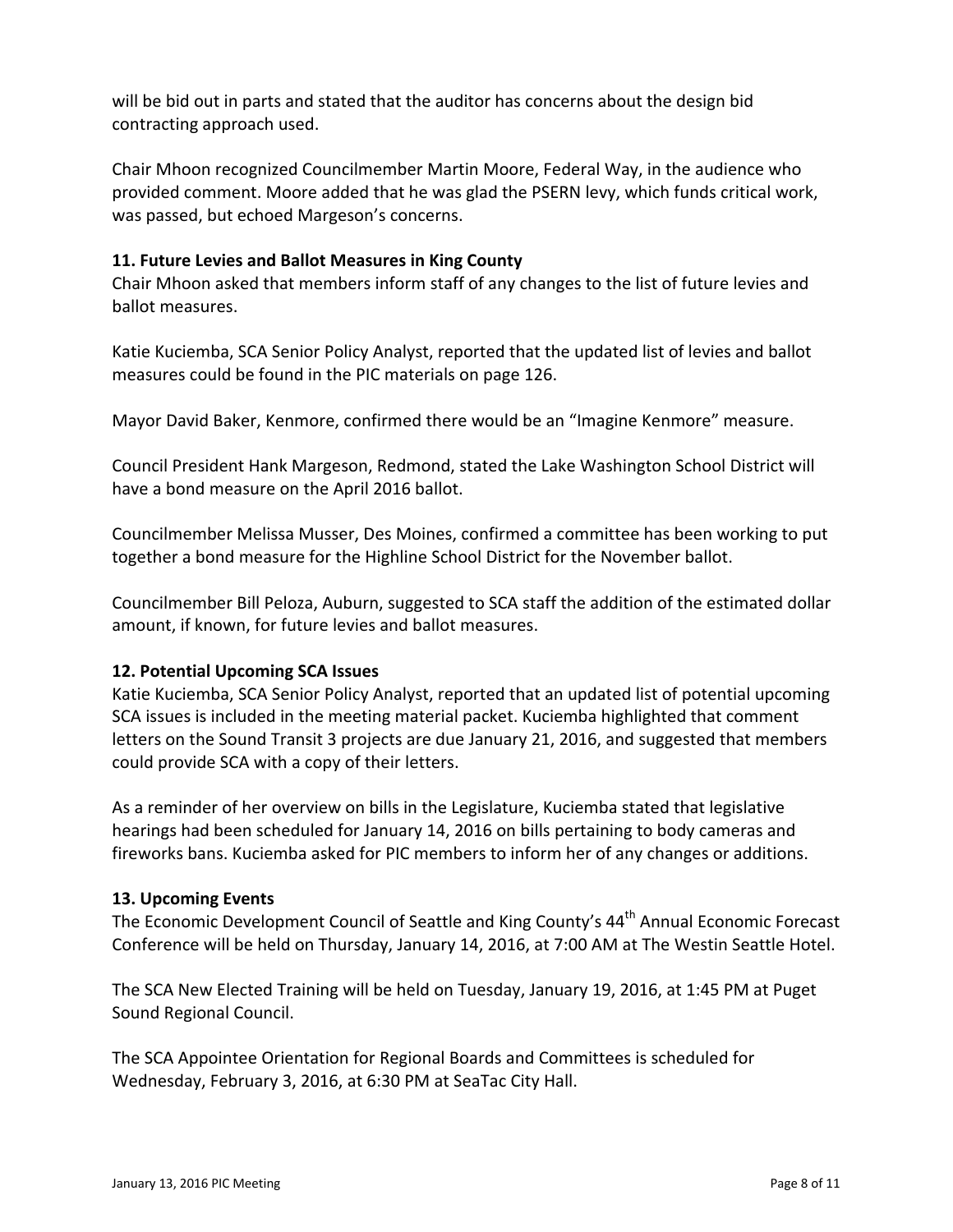will be bid out in parts and stated that the auditor has concerns about the design bid contracting approach used.

Chair Mhoon recognized Councilmember Martin Moore, Federal Way, in the audience who provided comment. Moore added that he was glad the PSERN levy, which funds critical work, was passed, but echoed Margeson's concerns.

#### **11. Future Levies and Ballot Measures in King County**

Chair Mhoon asked that members inform staff of any changes to the list of future levies and ballot measures.

Katie Kuciemba, SCA Senior Policy Analyst, reported that the updated list of levies and ballot measures could be found in the PIC materials on page 126.

Mayor David Baker, Kenmore, confirmed there would be an "Imagine Kenmore" measure.

Council President Hank Margeson, Redmond, stated the Lake Washington School District will have a bond measure on the April 2016 ballot.

Councilmember Melissa Musser, Des Moines, confirmed a committee has been working to put together a bond measure for the Highline School District for the November ballot.

Councilmember Bill Peloza, Auburn, suggested to SCA staff the addition of the estimated dollar amount, if known, for future levies and ballot measures.

# **12. Potential Upcoming SCA Issues**

Katie Kuciemba, SCA Senior Policy Analyst, reported that an updated list of potential upcoming SCA issues is included in the meeting material packet. Kuciemba highlighted that comment letters on the Sound Transit 3 projects are due January 21, 2016, and suggested that members could provide SCA with a copy of their letters.

As a reminder of her overview on bills in the Legislature, Kuciemba stated that legislative hearings had been scheduled for January 14, 2016 on bills pertaining to body cameras and fireworks bans. Kuciemba asked for PIC members to inform her of any changes or additions.

#### **13. Upcoming Events**

The Economic Development Council of Seattle and King County's 44<sup>th</sup> Annual Economic Forecast Conference will be held on Thursday, January 14, 2016, at 7:00 AM at The Westin Seattle Hotel.

The SCA New Elected Training will be held on Tuesday, January 19, 2016, at 1:45 PM at Puget Sound Regional Council.

The SCA Appointee Orientation for Regional Boards and Committees is scheduled for Wednesday, February 3, 2016, at 6:30 PM at SeaTac City Hall.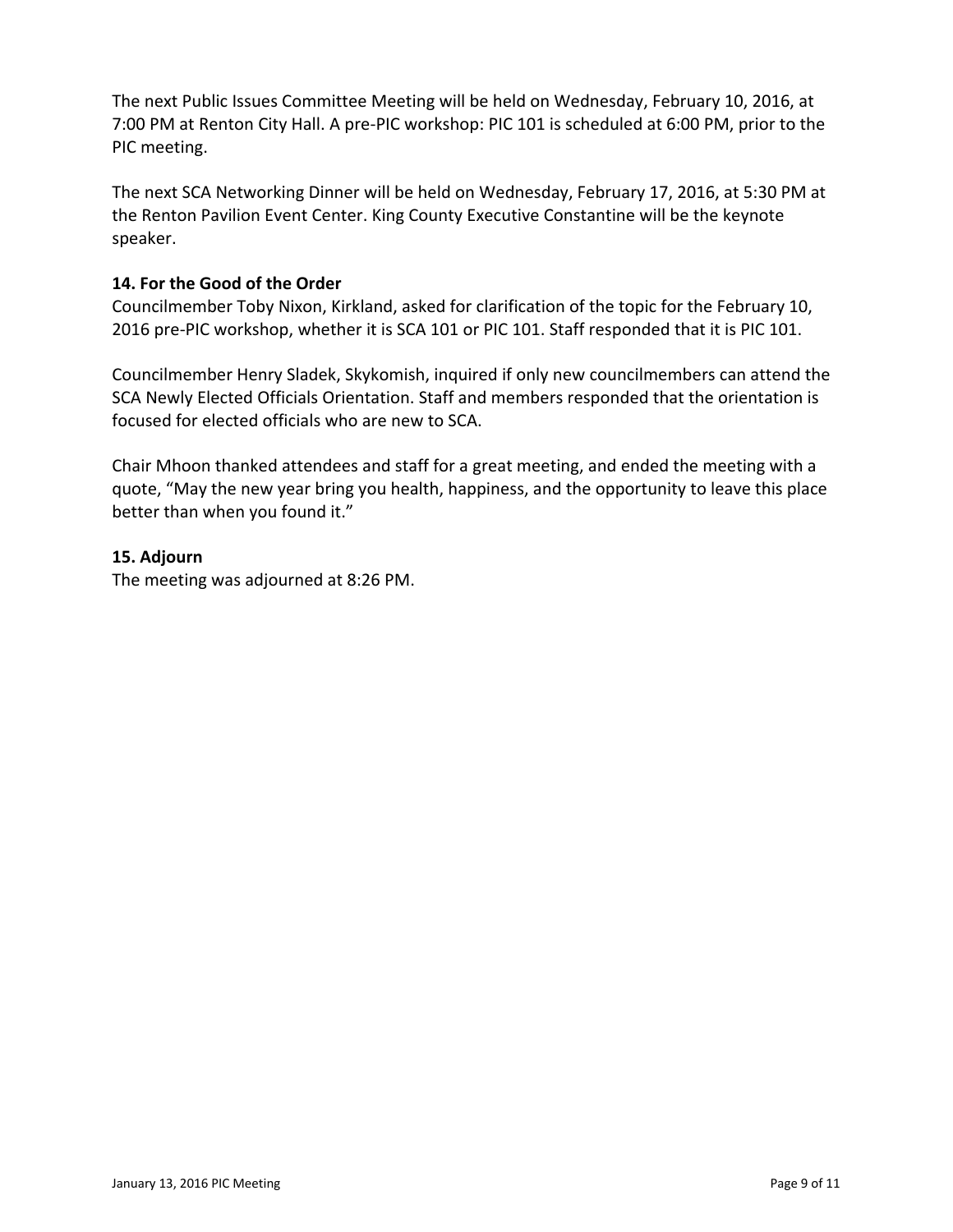The next Public Issues Committee Meeting will be held on Wednesday, February 10, 2016, at 7:00 PM at Renton City Hall. A pre‐PIC workshop: PIC 101 is scheduled at 6:00 PM, prior to the PIC meeting.

The next SCA Networking Dinner will be held on Wednesday, February 17, 2016, at 5:30 PM at the Renton Pavilion Event Center. King County Executive Constantine will be the keynote speaker.

#### **14. For the Good of the Order**

Councilmember Toby Nixon, Kirkland, asked for clarification of the topic for the February 10, 2016 pre‐PIC workshop, whether it is SCA 101 or PIC 101. Staff responded that it is PIC 101.

Councilmember Henry Sladek, Skykomish, inquired if only new councilmembers can attend the SCA Newly Elected Officials Orientation. Staff and members responded that the orientation is focused for elected officials who are new to SCA.

Chair Mhoon thanked attendees and staff for a great meeting, and ended the meeting with a quote, "May the new year bring you health, happiness, and the opportunity to leave this place better than when you found it."

#### **15. Adjourn**

The meeting was adjourned at 8:26 PM.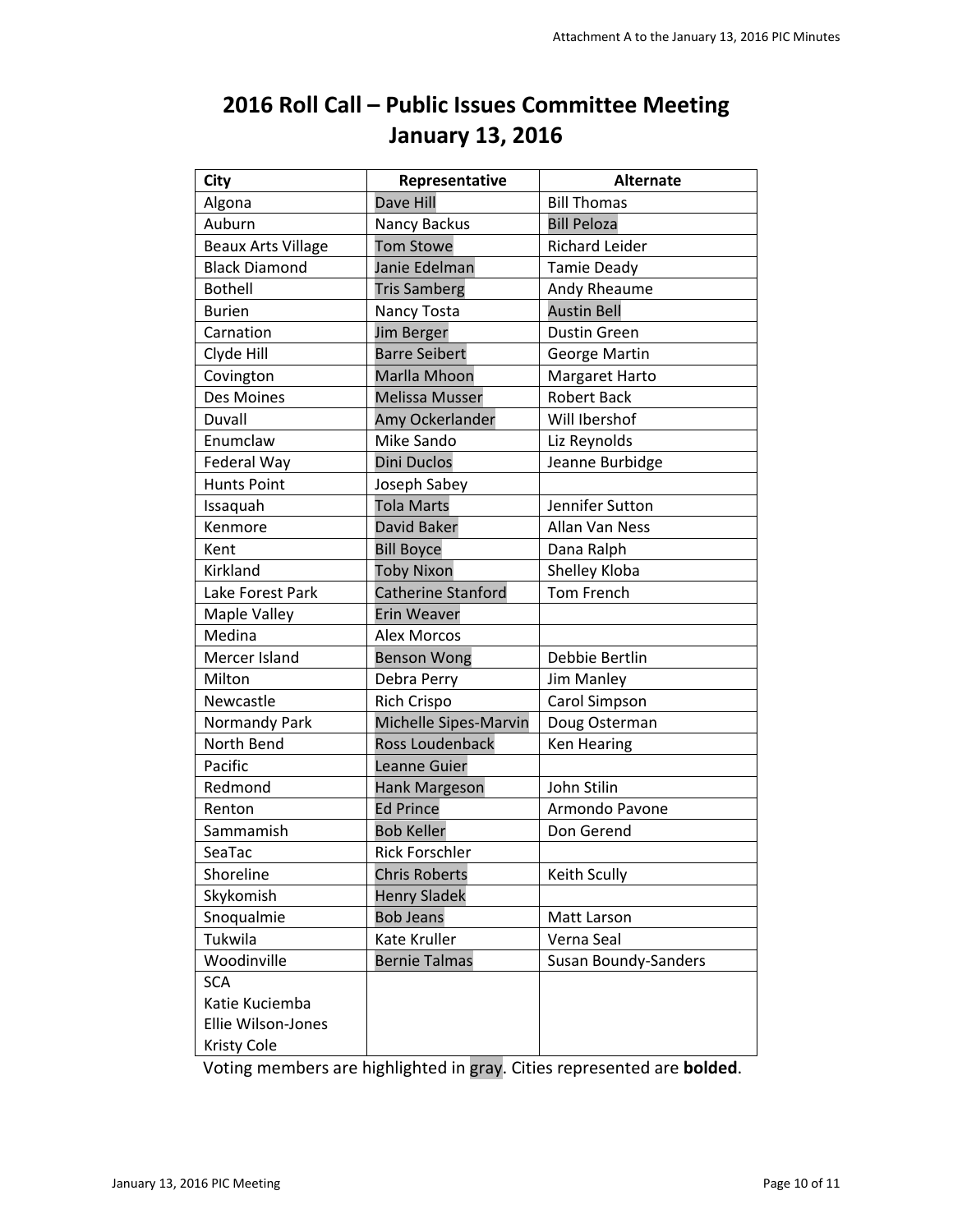| <b>City</b>               | Representative         | <b>Alternate</b>      |
|---------------------------|------------------------|-----------------------|
| Algona                    | <b>Dave Hill</b>       | <b>Bill Thomas</b>    |
| Auburn                    | Nancy Backus           | <b>Bill Peloza</b>    |
| <b>Beaux Arts Village</b> | <b>Tom Stowe</b>       | <b>Richard Leider</b> |
| <b>Black Diamond</b>      | Janie Edelman          | <b>Tamie Deady</b>    |
| <b>Bothell</b>            | <b>Tris Samberg</b>    | Andy Rheaume          |
| <b>Burien</b>             | Nancy Tosta            | <b>Austin Bell</b>    |
| Carnation                 | <b>Jim Berger</b>      | <b>Dustin Green</b>   |
| Clyde Hill                | <b>Barre Seibert</b>   | George Martin         |
| Covington                 | Marlla Mhoon           | Margaret Harto        |
| Des Moines                | <b>Melissa Musser</b>  | <b>Robert Back</b>    |
| Duvall                    | Amy Ockerlander        | Will Ibershof         |
| Enumclaw                  | Mike Sando             | Liz Reynolds          |
| Federal Way               | <b>Dini Duclos</b>     | Jeanne Burbidge       |
| <b>Hunts Point</b>        | Joseph Sabey           |                       |
| Issaquah                  | <b>Tola Marts</b>      | Jennifer Sutton       |
| Kenmore                   | David Baker            | Allan Van Ness        |
| Kent                      | <b>Bill Boyce</b>      | Dana Ralph            |
| Kirkland                  | <b>Toby Nixon</b>      | Shelley Kloba         |
| Lake Forest Park          | Catherine Stanford     | <b>Tom French</b>     |
| Maple Valley              | Erin Weaver            |                       |
| Medina                    | <b>Alex Morcos</b>     |                       |
| Mercer Island             | <b>Benson Wong</b>     | Debbie Bertlin        |
| Milton                    | Debra Perry            | Jim Manley            |
| Newcastle                 | <b>Rich Crispo</b>     | Carol Simpson         |
| Normandy Park             | Michelle Sipes-Marvin  | Doug Osterman         |
| North Bend                | <b>Ross Loudenback</b> | Ken Hearing           |
| Pacific                   | Leanne Guier           |                       |
| Redmond                   | Hank Margeson          | John Stilin           |
| Renton                    | <b>Ed Prince</b>       | Armondo Pavone        |
| Sammamish                 | <b>Bob Keller</b>      | Don Gerend            |
| SeaTac                    | <b>Rick Forschler</b>  |                       |
| Shoreline                 | <b>Chris Roberts</b>   | Keith Scully          |
| Skykomish                 | <b>Henry Sladek</b>    |                       |
| Snoqualmie                | <b>Bob Jeans</b>       | Matt Larson           |
| Tukwila                   | Kate Kruller           | Verna Seal            |
| Woodinville               | <b>Bernie Talmas</b>   | Susan Boundy-Sanders  |
| <b>SCA</b>                |                        |                       |
| Katie Kuciemba            |                        |                       |
| Ellie Wilson-Jones        |                        |                       |
| <b>Kristy Cole</b>        |                        |                       |

# <span id="page-9-0"></span>**2016 Roll Call – Public Issues Committee Meeting January 13, 2016**

Voting members are highlighted in gray. Cities represented are **bolded**.